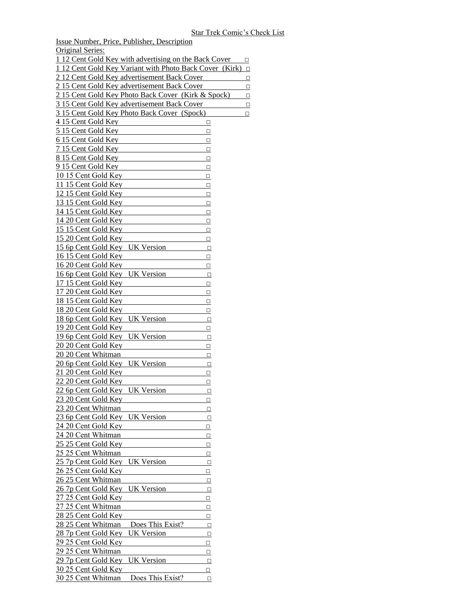Original Series: 1 12 Cent Gold Key with advertising on the Back Cover  $\Box$ 1 12 Cent Gold Key Variant with Photo Back Cover (Kirk) □ 2 12 Cent Gold Key advertisement Back Cover □ 2 15 Cent Gold Key advertisement Back Cover □ 2 15 Cent Gold Key Photo Back Cover (Kirk & Spock) □ 3 15 Cent Gold Key advertisement Back Cover □ 3 15 Cent Gold Key Photo Back Cover (Spock) □ 4 15 Cent Gold Key □ 5 15 Cent Gold Key □ 6 15 Cent Gold Key □  $\overline{7}$  15 Cent Gold Key □ 8 15 Cent Gold Key □  $915$  Cent Gold Key □  $10\,15$  Cent Gold Key □ 11 15 Cent Gold Key □ 12 15 Cent Gold Key □ 13 15 Cent Gold Key □  $14$  15 Cent Gold Key □ 14 20 Cent Gold Key □  $15 15$  Cent Gold Key □ 15 20 Cent Gold Key □ 15 6p Cent Gold Key UK Version □  $16 15$  Cent Gold Key □ 16 20 Cent Gold Key □ 16 6p Cent Gold Key UK Version □  $17 15$  Cent Gold Key □ 17 20 Cent Gold Key □ 18 15 Cent Gold Key □ 18 20 Cent Gold Key □ 18 6p Cent Gold Key UK Version □ 19 20 Cent Gold Key □ 19 6p Cent Gold Key UK Version  $\Box$  $20 20$  Cent Gold Key □ 20 20 Cent Whitman □  $20$  6p Cent Gold Key UK Version  $\Box$  $21 20$  Cent Gold Key □  $22 20$  Cent Gold Key □  $22$  6p Cent Gold Key UK Version □  $23 20$  Cent Gold Key □ 23 20 Cent Whitman  $\Box$  $23$  6p Cent Gold Key UK Version □  $24 20$  Cent Gold Key □  $24 20$  Cent Whitman □  $25 25$  Cent Gold Key □ 25 25 Cent Whitman  $\Box$ 25 7p Cent Gold Key UK Version □  $26\overline{25}$  Cent Gold Key □  $26 25$  Cent Whitman □  $267p$  Cent Gold Key UK Version □ 27 25 Cent Gold Key □  $27 25$  Cent Whitman  $\Box$  $28 25$  Cent Gold Key □  $28 25$  Cent Whitman Does This Exist? □ 28 7p Cent Gold Key UK Version □  $29\,25$  Cent Gold Key □  $29\,25$  Cent Whitman  $\Box$ 29 7p Cent Gold Key UK Version □ 30 25 Cent Gold Key □  $30 25$  Cent Whitman Does This Exist? □

Issue Number, Price, Publisher, Description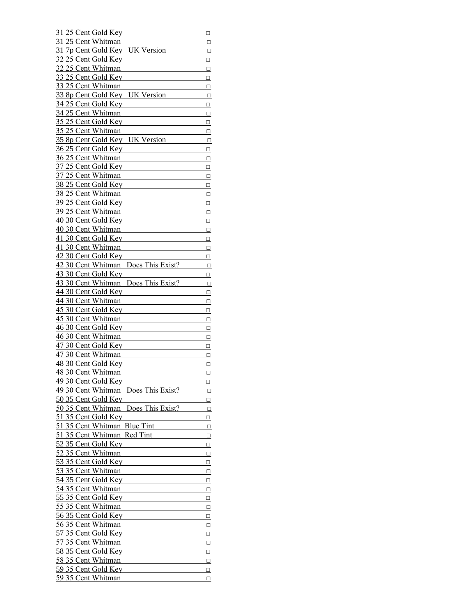| 31 25 Cent Gold Key                      | $\Box$          |
|------------------------------------------|-----------------|
| 31 25 Cent Whitman                       | Q               |
| 31 7p Cent Gold Key UK Version           | □               |
| $32\overline{25}$ Cent Gold Key          | $\Box$          |
| 32.25 Cent Whitman                       | $\Box$          |
| 33 25 Cent Gold Key                      | $\hfill\square$ |
| 33 25 Cent Whitman                       |                 |
|                                          | $\Box$          |
| 33 8p Cent Gold Key<br><b>UK Version</b> | $\Box$          |
| 34 25 Cent Gold Key                      | $\Box$          |
| 34 25 Cent Whitman                       | $\Box$          |
| 35 25 Cent Gold Key                      | $\Box$          |
| 35 25 Cent Whitman                       | $\Box$          |
| 35 8p Cent Gold Key<br><b>UK Version</b> | $\Box$          |
| 36 25 Cent Gold Key                      | $\Box$          |
| 36 25 Cent Whitman                       | $\Box$          |
| 37 25 Cent Gold Key                      | $\Box$          |
| 37 25 Cent Whitman                       | $\Box$          |
| 38 25 Cent Gold Key                      | $\Box$          |
| 38 25 Cent Whitman                       | $\Box$          |
| 39 25 Cent Gold Key                      | $\Box$          |
| 39 25 Cent Whitman                       | $\Box$          |
| 40 30 Cent Gold Key                      | $\Box$          |
| 40 30 Cent Whitman                       |                 |
|                                          | $\Box$          |
| 41 30 Cent Gold Key                      | $\Box$          |
| 41 30 Cent Whitman                       | $\Box$          |
| 42 30 Cent Gold Key                      | $\Box$          |
| 42 30 Cent Whitman Does This Exist?      | $\Box$          |
| 43 30 Cent Gold Key                      | $\Box$          |
| 43 30 Cent Whitman Does This Exist?      | $\Box$          |
| 44 30 Cent Gold Key                      | $\Box$          |
| 44 30 Cent Whitman                       | $\Box$          |
| 45 30 Cent Gold Key                      | $\Box$          |
| 45 30 Cent Whitman                       | $\Box$          |
| 46 30 Cent Gold Key                      | $\Box$          |
| 46 30 Cent Whitman                       | $\Box$          |
| 47 30 Cent Gold Key                      | $\Box$          |
| 47 30 Cent Whitman                       | $\Box$          |
| 48 30 Cent Gold Key                      | □               |
| 48 30 Cent Whitman                       | □               |
| 49 30 Cent Gold Key                      | □               |
| 49 30 Cent Whitman Does This Exist?      | $\Box$          |
| 50 35 Cent Gold Key                      |                 |
| 50 35 Cent Whitman Does This Exist?      | □               |
|                                          | $\Box$          |
| 51 35 Cent Gold Key                      | ◻               |
| 51 35 Cent Whitman Blue Tint             | $\Box$          |
| 51 35 Cent Whitman Red Tint              | $\Box$          |
| 52 35 Cent Gold Key                      | $\Box$          |
| 52 35 Cent Whitman                       | $\Box$          |
| 53 35 Cent Gold Key                      | $\Box$          |
| 53 35 Cent Whitman                       | $\Box$          |
| 54 35 Cent Gold Key                      | $\Box$          |
| 54 35 Cent Whitman                       | $\Box$          |
| 55 35 Cent Gold Key                      | ◻               |
| 55 35 Cent Whitman                       | $\Box$          |
| 56 35 Cent Gold Key                      | $\Box$          |
| 56 35 Cent Whitman                       | $\Box$          |
| 57 35 Cent Gold Key                      | $\Box$          |
| 57 35 Cent Whitman                       | $\Box$          |
| 58 35 Cent Gold Key                      | ◻               |
| 58 35 Cent Whitman                       | $\Box$          |
| 59 35 Cent Gold Key                      | $\Box$          |
| 59 35 Cent Whitman                       |                 |
|                                          | $\Box$          |